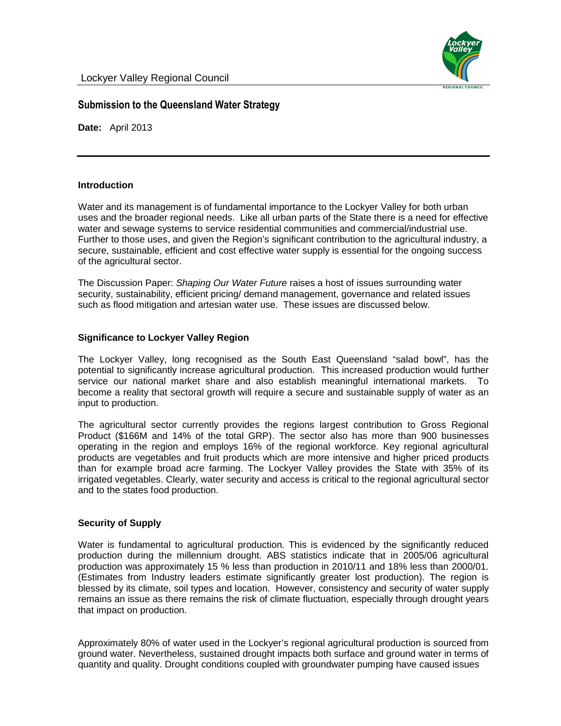# **Submission to the Queensland Water Strategy**

**Date:** April 2013

#### **Introduction**

Water and its management is of fundamental importance to the Lockyer Valley for both urban uses and the broader regional needs. Like all urban parts of the State there is a need for effective water and sewage systems to service residential communities and commercial/industrial use. Further to those uses, and given the Region's significant contribution to the agricultural industry, a secure, sustainable, efficient and cost effective water supply is essential for the ongoing success of the agricultural sector.

The Discussion Paper: Shaping Our Water Future raises a host of issues surrounding water security, sustainability, efficient pricing/ demand management, governance and related issues such as flood mitigation and artesian water use. These issues are discussed below.

### **Significance to Lockyer Valley Region**

The Lockyer Valley, long recognised as the South East Queensland "salad bowl", has the potential to significantly increase agricultural production. This increased production would further service our national market share and also establish meaningful international markets. To become a reality that sectoral growth will require a secure and sustainable supply of water as an input to production.

The agricultural sector currently provides the regions largest contribution to Gross Regional Product (\$166M and 14% of the total GRP). The sector also has more than 900 businesses operating in the region and employs 16% of the regional workforce. Key regional agricultural products are vegetables and fruit products which are more intensive and higher priced products than for example broad acre farming. The Lockyer Valley provides the State with 35% of its irrigated vegetables. Clearly, water security and access is critical to the regional agricultural sector and to the states food production.

#### **Security of Supply**

Water is fundamental to agricultural production. This is evidenced by the significantly reduced production during the millennium drought. ABS statistics indicate that in 2005/06 agricultural production was approximately 15 % less than production in 2010/11 and 18% less than 2000/01. (Estimates from Industry leaders estimate significantly greater lost production). The region is blessed by its climate, soil types and location. However, consistency and security of water supply remains an issue as there remains the risk of climate fluctuation, especially through drought years that impact on production.

Approximately 80% of water used in the Lockyer's regional agricultural production is sourced from ground water. Nevertheless, sustained drought impacts both surface and ground water in terms of quantity and quality. Drought conditions coupled with groundwater pumping have caused issues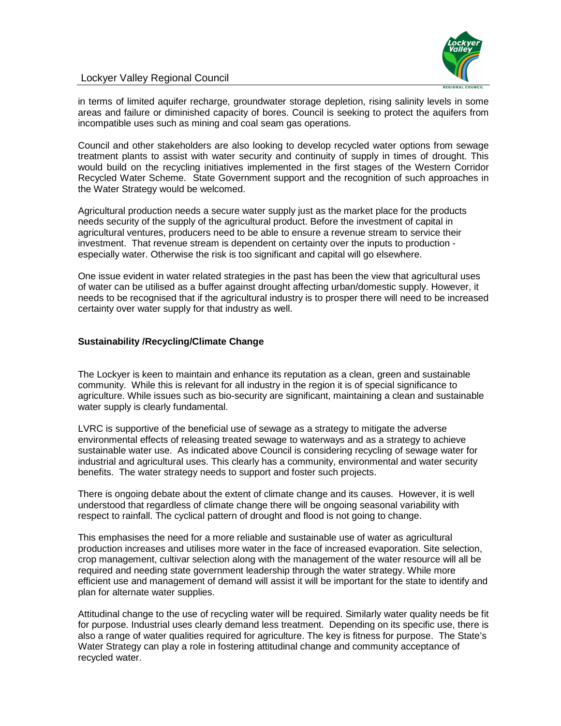

## Lockyer Valley Regional Council

in terms of limited aquifer recharge, groundwater storage depletion, rising salinity levels in some areas and failure or diminished capacity of bores. Council is seeking to protect the aquifers from incompatible uses such as mining and coal seam gas operations.

Council and other stakeholders are also looking to develop recycled water options from sewage treatment plants to assist with water security and continuity of supply in times of drought. This would build on the recycling initiatives implemented in the first stages of the Western Corridor Recycled Water Scheme. State Government support and the recognition of such approaches in the Water Strategy would be welcomed.

Agricultural production needs a secure water supply just as the market place for the products needs security of the supply of the agricultural product. Before the investment of capital in agricultural ventures, producers need to be able to ensure a revenue stream to service their investment. That revenue stream is dependent on certainty over the inputs to production especially water. Otherwise the risk is too significant and capital will go elsewhere.

One issue evident in water related strategies in the past has been the view that agricultural uses of water can be utilised as a buffer against drought affecting urban/domestic supply. However, it needs to be recognised that if the agricultural industry is to prosper there will need to be increased certainty over water supply for that industry as well.

## **Sustainability /Recycling/Climate Change**

The Lockyer is keen to maintain and enhance its reputation as a clean, green and sustainable community. While this is relevant for all industry in the region it is of special significance to agriculture. While issues such as bio-security are significant, maintaining a clean and sustainable water supply is clearly fundamental.

LVRC is supportive of the beneficial use of sewage as a strategy to mitigate the adverse environmental effects of releasing treated sewage to waterways and as a strategy to achieve sustainable water use. As indicated above Council is considering recycling of sewage water for industrial and agricultural uses. This clearly has a community, environmental and water security benefits. The water strategy needs to support and foster such projects.

There is ongoing debate about the extent of climate change and its causes. However, it is well understood that regardless of climate change there will be ongoing seasonal variability with respect to rainfall. The cyclical pattern of drought and flood is not going to change.

This emphasises the need for a more reliable and sustainable use of water as agricultural production increases and utilises more water in the face of increased evaporation. Site selection, crop management, cultivar selection along with the management of the water resource will all be required and needing state government leadership through the water strategy. While more efficient use and management of demand will assist it will be important for the state to identify and plan for alternate water supplies.

Attitudinal change to the use of recycling water will be required. Similarly water quality needs be fit for purpose. Industrial uses clearly demand less treatment. Depending on its specific use, there is also a range of water qualities required for agriculture. The key is fitness for purpose. The State's Water Strategy can play a role in fostering attitudinal change and community acceptance of recycled water.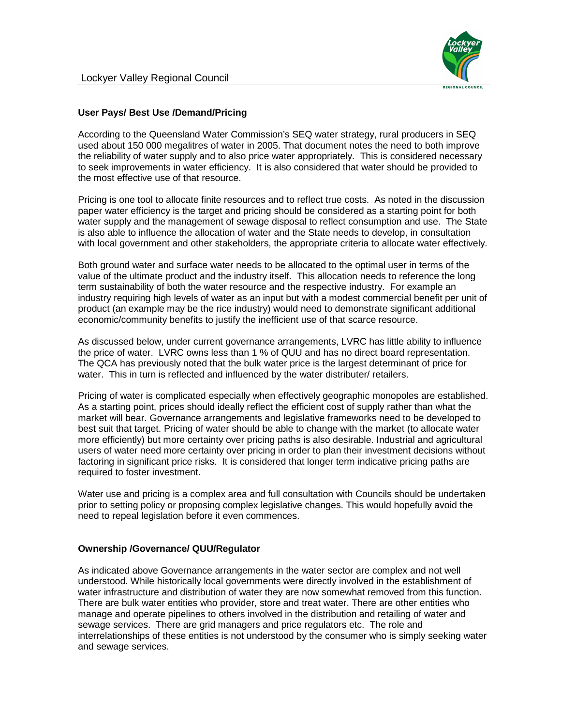

## **User Pays/ Best Use /Demand/Pricing**

According to the Queensland Water Commission's SEQ water strategy, rural producers in SEQ used about 150 000 megalitres of water in 2005. That document notes the need to both improve the reliability of water supply and to also price water appropriately. This is considered necessary to seek improvements in water efficiency. It is also considered that water should be provided to the most effective use of that resource.

Pricing is one tool to allocate finite resources and to reflect true costs. As noted in the discussion paper water efficiency is the target and pricing should be considered as a starting point for both water supply and the management of sewage disposal to reflect consumption and use. The State is also able to influence the allocation of water and the State needs to develop, in consultation with local government and other stakeholders, the appropriate criteria to allocate water effectively.

Both ground water and surface water needs to be allocated to the optimal user in terms of the value of the ultimate product and the industry itself. This allocation needs to reference the long term sustainability of both the water resource and the respective industry. For example an industry requiring high levels of water as an input but with a modest commercial benefit per unit of product (an example may be the rice industry) would need to demonstrate significant additional economic/community benefits to justify the inefficient use of that scarce resource.

As discussed below, under current governance arrangements, LVRC has little ability to influence the price of water. LVRC owns less than 1 % of QUU and has no direct board representation. The QCA has previously noted that the bulk water price is the largest determinant of price for water. This in turn is reflected and influenced by the water distributer/ retailers.

Pricing of water is complicated especially when effectively geographic monopoles are established. As a starting point, prices should ideally reflect the efficient cost of supply rather than what the market will bear. Governance arrangements and legislative frameworks need to be developed to best suit that target. Pricing of water should be able to change with the market (to allocate water more efficiently) but more certainty over pricing paths is also desirable. Industrial and agricultural users of water need more certainty over pricing in order to plan their investment decisions without factoring in significant price risks. It is considered that longer term indicative pricing paths are required to foster investment.

Water use and pricing is a complex area and full consultation with Councils should be undertaken prior to setting policy or proposing complex legislative changes. This would hopefully avoid the need to repeal legislation before it even commences.

### **Ownership /Governance/ QUU/Regulator**

As indicated above Governance arrangements in the water sector are complex and not well understood. While historically local governments were directly involved in the establishment of water infrastructure and distribution of water they are now somewhat removed from this function. There are bulk water entities who provider, store and treat water. There are other entities who manage and operate pipelines to others involved in the distribution and retailing of water and sewage services. There are grid managers and price regulators etc. The role and interrelationships of these entities is not understood by the consumer who is simply seeking water and sewage services.